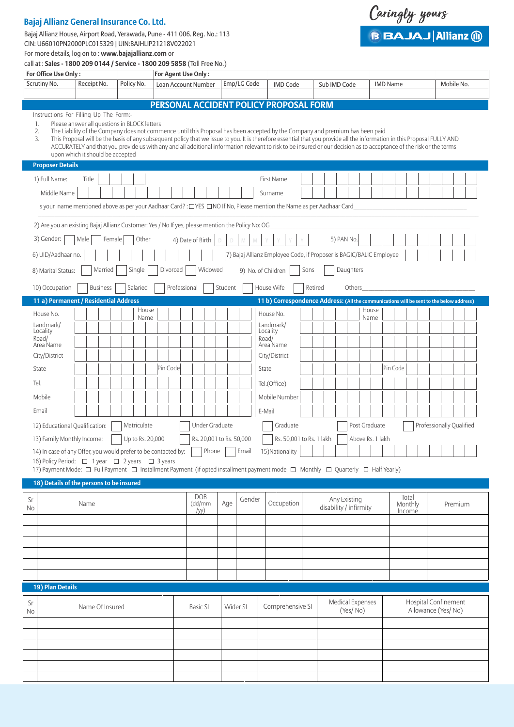# **Bajaj Allianz General Insurance Co. Ltd.**

Bajaj Allianz House, Airport Road, Yerawada, Pune - 411 006. Reg. No.: 113 CIN: U66010PN2000PLC015329 | UIN:BAJHLIP21218V022021



For more details, log on to : **www.bajajallianz.com** or call at : **Sales - 1800 209 0144 / Service - 1800 209 5858** (Toll Free No.)

| For Office Use Only:<br>For Agent Use Only:                                                                                                                                                                                                                                                                                                                                                                                                                                                                                                                                                                                      |                 |                  |               |                                               |                          |          |             |                                        |         |                                                                                                                                |                            |         |                                            |
|----------------------------------------------------------------------------------------------------------------------------------------------------------------------------------------------------------------------------------------------------------------------------------------------------------------------------------------------------------------------------------------------------------------------------------------------------------------------------------------------------------------------------------------------------------------------------------------------------------------------------------|-----------------|------------------|---------------|-----------------------------------------------|--------------------------|----------|-------------|----------------------------------------|---------|--------------------------------------------------------------------------------------------------------------------------------|----------------------------|---------|--------------------------------------------|
| Scrutiny No.                                                                                                                                                                                                                                                                                                                                                                                                                                                                                                                                                                                                                     | Receipt No.     | Policy No.       |               | Loan Account Number                           |                          |          | Emp/LG Code | <b>IMD Code</b>                        |         | Sub IMD Code                                                                                                                   | <b>IMD Name</b>            |         | Mobile No.                                 |
|                                                                                                                                                                                                                                                                                                                                                                                                                                                                                                                                                                                                                                  |                 |                  |               |                                               |                          |          |             |                                        |         |                                                                                                                                |                            |         |                                            |
| PERSONAL ACCIDENT POLICY PROPOSAL FORM                                                                                                                                                                                                                                                                                                                                                                                                                                                                                                                                                                                           |                 |                  |               |                                               |                          |          |             |                                        |         |                                                                                                                                |                            |         |                                            |
| Instructions For Filling Up The Form:-<br>Please answer all questions in BLOCK letters<br>1.<br>The Liability of the Company does not commence until this Proposal has been accepted by the Company and premium has been paid<br>2.<br>This Proposal will be the basis of any subsequent policy that we issue to you. It is therefore essential that you provide all the information in this Proposal FULLY AND<br>3.<br>ACCURATELY and that you provide us with any and all additional information relevant to risk to be insured or our decision as to acceptance of the risk or the terms<br>upon which it should be accepted |                 |                  |               |                                               |                          |          |             |                                        |         |                                                                                                                                |                            |         |                                            |
| <b>Proposer Details</b>                                                                                                                                                                                                                                                                                                                                                                                                                                                                                                                                                                                                          |                 |                  |               |                                               |                          |          |             |                                        |         |                                                                                                                                |                            |         |                                            |
| 1) Full Name:<br>Title<br>First Name<br>Middle Name<br>Surname<br>Is your name mentioned above as per your Aadhaar Card?: [765] NO If No, Please mention the Name as per Aadhaar Card                                                                                                                                                                                                                                                                                                                                                                                                                                            |                 |                  |               |                                               |                          |          |             |                                        |         |                                                                                                                                |                            |         |                                            |
| 2) Are you an existing Bajaj Allianz Customer: Yes / No If yes, please mention the Policy No: OG                                                                                                                                                                                                                                                                                                                                                                                                                                                                                                                                 |                 |                  |               |                                               |                          |          |             |                                        |         |                                                                                                                                |                            |         |                                            |
| 3) Gender:<br>Male<br>5) PAN No.<br>Female<br>Other<br>4) Date of Birth<br>M<br>D.<br>D.                                                                                                                                                                                                                                                                                                                                                                                                                                                                                                                                         |                 |                  |               |                                               |                          |          |             |                                        |         |                                                                                                                                |                            |         |                                            |
| 6) UID/Aadhaar no.                                                                                                                                                                                                                                                                                                                                                                                                                                                                                                                                                                                                               |                 |                  |               |                                               |                          |          |             |                                        |         | 7) Bajaj Allianz Employee Code, if Proposer is BAGIC/BALIC Employee                                                            |                            |         |                                            |
| Widowed<br>Daughters<br>Married<br>Single<br>Divorced<br>Sons<br>9) No. of Children<br>8) Marital Status:                                                                                                                                                                                                                                                                                                                                                                                                                                                                                                                        |                 |                  |               |                                               |                          |          |             |                                        |         |                                                                                                                                |                            |         |                                            |
| 10) Occupation                                                                                                                                                                                                                                                                                                                                                                                                                                                                                                                                                                                                                   | <b>Business</b> | Salaried         |               | Professional                                  |                          | Student  |             | House Wife                             | Retired | Others                                                                                                                         |                            |         |                                            |
| 11 a) Permanent / Residential Address                                                                                                                                                                                                                                                                                                                                                                                                                                                                                                                                                                                            |                 |                  |               |                                               |                          |          |             |                                        |         | 11 b) Correspondence Address: (All the communications will be sent to the below address)                                       |                            |         |                                            |
| House No.                                                                                                                                                                                                                                                                                                                                                                                                                                                                                                                                                                                                                        |                 |                  | House<br>Name |                                               |                          |          |             | House No.                              |         |                                                                                                                                | House<br>Name              |         |                                            |
| Landmark/                                                                                                                                                                                                                                                                                                                                                                                                                                                                                                                                                                                                                        |                 |                  |               |                                               |                          |          |             | Landmark/                              |         |                                                                                                                                |                            |         |                                            |
| Locality<br>Road/                                                                                                                                                                                                                                                                                                                                                                                                                                                                                                                                                                                                                |                 |                  |               |                                               |                          |          |             | Locality<br>Road/                      |         |                                                                                                                                |                            |         |                                            |
| Area Name                                                                                                                                                                                                                                                                                                                                                                                                                                                                                                                                                                                                                        |                 |                  |               |                                               |                          |          |             | Area Name                              |         |                                                                                                                                |                            |         |                                            |
| City/District                                                                                                                                                                                                                                                                                                                                                                                                                                                                                                                                                                                                                    |                 |                  |               |                                               |                          |          |             | City/District                          |         |                                                                                                                                |                            |         |                                            |
| State                                                                                                                                                                                                                                                                                                                                                                                                                                                                                                                                                                                                                            |                 |                  | Pin Code      |                                               |                          |          |             | State                                  |         |                                                                                                                                | Pin Code                   |         |                                            |
| Tel.                                                                                                                                                                                                                                                                                                                                                                                                                                                                                                                                                                                                                             |                 |                  |               |                                               |                          |          |             | Tel.(Office)                           |         |                                                                                                                                |                            |         |                                            |
| Mobile                                                                                                                                                                                                                                                                                                                                                                                                                                                                                                                                                                                                                           |                 |                  |               |                                               |                          |          |             | Mobile Number                          |         |                                                                                                                                |                            |         |                                            |
| Email                                                                                                                                                                                                                                                                                                                                                                                                                                                                                                                                                                                                                            |                 |                  |               |                                               |                          |          |             | E-Mail                                 |         |                                                                                                                                |                            |         |                                            |
| 12) Educational Qualification:                                                                                                                                                                                                                                                                                                                                                                                                                                                                                                                                                                                                   |                 | Matriculate      |               |                                               | Under Graduate           |          |             | Graduate                               |         | Post Graduate                                                                                                                  |                            |         | Professionally Qualified                   |
| 13) Family Monthly Income:                                                                                                                                                                                                                                                                                                                                                                                                                                                                                                                                                                                                       |                 | Up to Rs. 20,000 |               |                                               | Rs. 20,001 to Rs. 50,000 |          |             | Rs. 50,001 to Rs. 1 lakh               |         |                                                                                                                                | Above Rs. 1 lakh           |         |                                            |
| 14) In case of any Offer, you would prefer to be contacted by:                                                                                                                                                                                                                                                                                                                                                                                                                                                                                                                                                                   |                 |                  |               |                                               | Phone                    |          | Email       | 15) Nationality                        |         |                                                                                                                                |                            |         |                                            |
| 16) Policy Period: □ 1 year □ 2 years □ 3 years                                                                                                                                                                                                                                                                                                                                                                                                                                                                                                                                                                                  |                 |                  |               |                                               |                          |          |             |                                        |         |                                                                                                                                |                            |         |                                            |
|                                                                                                                                                                                                                                                                                                                                                                                                                                                                                                                                                                                                                                  |                 |                  |               |                                               |                          |          |             |                                        |         | 17) Payment Mode: □ Full Payment □ Installment Payment (if opted installment payment mode □ Monthly □ Quarterly □ Half Yearly) |                            |         |                                            |
| 18) Details of the persons to be insured                                                                                                                                                                                                                                                                                                                                                                                                                                                                                                                                                                                         |                 |                  |               |                                               |                          |          |             |                                        |         |                                                                                                                                |                            |         |                                            |
| Sr<br>Name<br>No                                                                                                                                                                                                                                                                                                                                                                                                                                                                                                                                                                                                                 |                 |                  |               | <b>DOB</b><br>Gender<br>Age<br>(dd/mm<br>/yy) |                          |          | Occupation  | Any Existing<br>disability / infirmity |         |                                                                                                                                | Total<br>Monthly<br>Income | Premium |                                            |
|                                                                                                                                                                                                                                                                                                                                                                                                                                                                                                                                                                                                                                  |                 |                  |               |                                               |                          |          |             |                                        |         |                                                                                                                                |                            |         |                                            |
|                                                                                                                                                                                                                                                                                                                                                                                                                                                                                                                                                                                                                                  |                 |                  |               |                                               |                          |          |             |                                        |         |                                                                                                                                |                            |         |                                            |
|                                                                                                                                                                                                                                                                                                                                                                                                                                                                                                                                                                                                                                  |                 |                  |               |                                               |                          |          |             |                                        |         |                                                                                                                                |                            |         |                                            |
|                                                                                                                                                                                                                                                                                                                                                                                                                                                                                                                                                                                                                                  |                 |                  |               |                                               |                          |          |             |                                        |         |                                                                                                                                |                            |         |                                            |
| 19) Plan Details                                                                                                                                                                                                                                                                                                                                                                                                                                                                                                                                                                                                                 |                 |                  |               |                                               |                          |          |             |                                        |         |                                                                                                                                |                            |         |                                            |
| Sr<br>Name Of Insured                                                                                                                                                                                                                                                                                                                                                                                                                                                                                                                                                                                                            |                 |                  |               | <b>Basic SI</b>                               |                          | Wider SI |             | Comprehensive SI                       |         | Medical Expenses<br>(Yes/No)                                                                                                   |                            |         | Hospital Confinement<br>Allowance (Yes/No) |
| No                                                                                                                                                                                                                                                                                                                                                                                                                                                                                                                                                                                                                               |                 |                  |               |                                               |                          |          |             |                                        |         |                                                                                                                                |                            |         |                                            |
|                                                                                                                                                                                                                                                                                                                                                                                                                                                                                                                                                                                                                                  |                 |                  |               |                                               |                          |          |             |                                        |         |                                                                                                                                |                            |         |                                            |
|                                                                                                                                                                                                                                                                                                                                                                                                                                                                                                                                                                                                                                  |                 |                  |               |                                               |                          |          |             |                                        |         |                                                                                                                                |                            |         |                                            |
|                                                                                                                                                                                                                                                                                                                                                                                                                                                                                                                                                                                                                                  |                 |                  |               |                                               |                          |          |             |                                        |         |                                                                                                                                |                            |         |                                            |
|                                                                                                                                                                                                                                                                                                                                                                                                                                                                                                                                                                                                                                  |                 |                  |               |                                               |                          |          |             |                                        |         |                                                                                                                                |                            |         |                                            |
|                                                                                                                                                                                                                                                                                                                                                                                                                                                                                                                                                                                                                                  |                 |                  |               |                                               |                          |          |             |                                        |         |                                                                                                                                |                            |         |                                            |